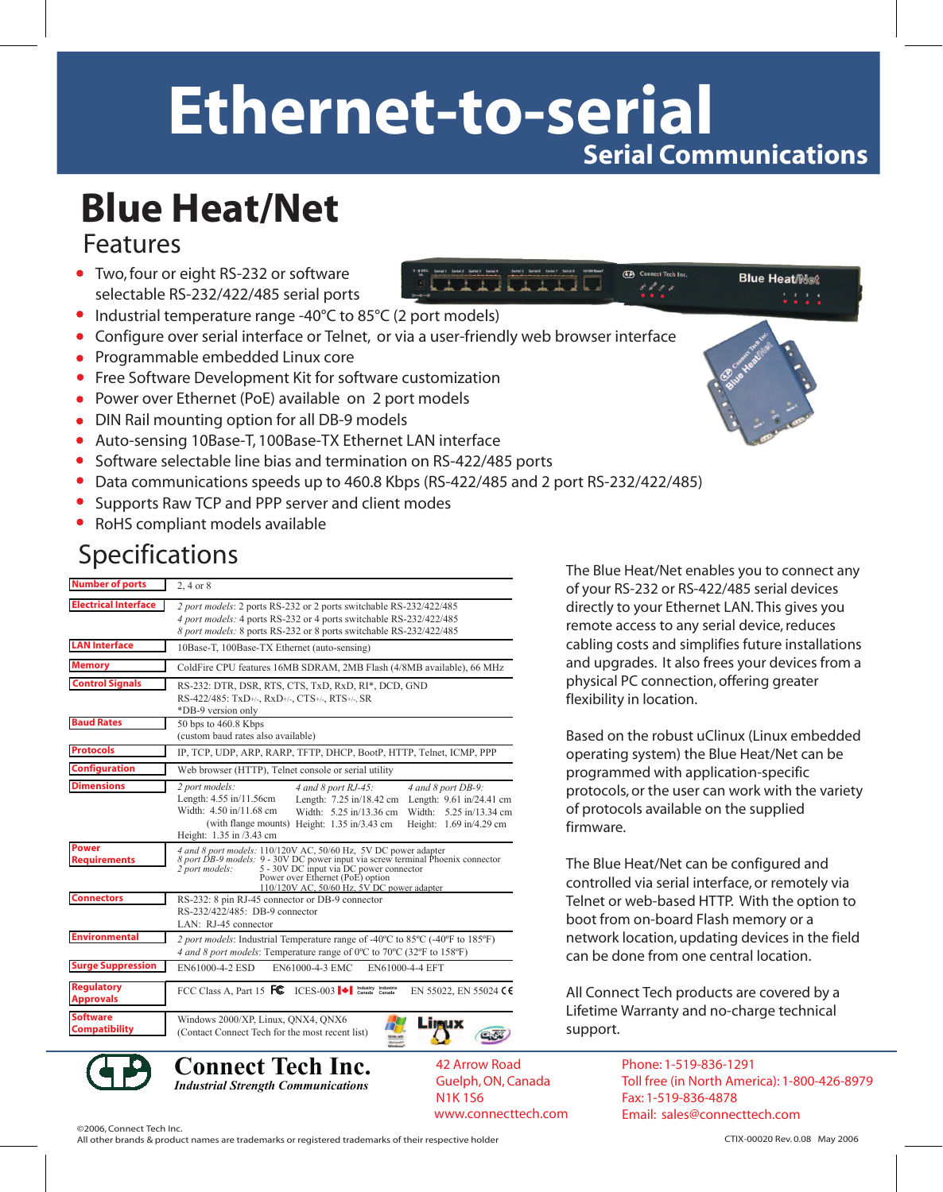### **Ethernet-to-serial Serial Communications**

## **Blue Heat/Net**

#### Features

- Two, four or eight RS-232 or software selectable RS-232/422/485 serial ports
- Industrial temperature range -40°C to 85°C (2 port models)
- Configure over serial interface or Telnet, or via a user-friendly web browser interface
- **Programmable embedded Linux core**
- Free Software Development Kit for software customization
- Power over Ethernet (PoE) available on 2 port models
- DIN Rail mounting option for all DB-9 models
- Auto-sensing 10Base-T, 100Base-TX Ethernet LAN interface
- $\bullet$ Software selectable line bias and termination on RS-422/485 ports
- $\bullet$ Data communications speeds up to 460.8 Kbps (RS-422/485 and 2 port RS-232/422/485)
- Supports Raw TCP and PPP server and client modes  $\bullet$
- RoHS compliant models available

#### Specifications

| <b>Number of ports</b>                  | $2, 4$ or $8$                                                                                                                                                                                                                                                                                                                          |
|-----------------------------------------|----------------------------------------------------------------------------------------------------------------------------------------------------------------------------------------------------------------------------------------------------------------------------------------------------------------------------------------|
| <b>Electrical Interface</b>             | 2 port models: 2 ports RS-232 or 2 ports switchable RS-232/422/485<br>4 port models: 4 ports RS-232 or 4 ports switchable RS-232/422/485<br>8 port models: 8 ports RS-232 or 8 ports switchable RS-232/422/485                                                                                                                         |
| <b>LAN Interface</b>                    | 10Base-T, 100Base-TX Ethernet (auto-sensing)                                                                                                                                                                                                                                                                                           |
| <b>Memory</b>                           | ColdFire CPU features 16MB SDRAM, 2MB Flash (4/8MB available), 66 MHz                                                                                                                                                                                                                                                                  |
| <b>Control Signals</b>                  | RS-232: DTR, DSR, RTS, CTS, TxD, RxD, RI*, DCD, GND<br>RS-422/485: TxD+/-, RxD+/-, CTS+/-, RTS+/-, SR<br>*DB-9 version only                                                                                                                                                                                                            |
| <b>Baud Rates</b>                       | 50 bps to 460.8 Kbps<br>(custom baud rates also available)                                                                                                                                                                                                                                                                             |
| <b>Protocols</b>                        | IP, TCP, UDP, ARP, RARP, TFTP, DHCP, BootP, HTTP, Telnet, ICMP, PPP                                                                                                                                                                                                                                                                    |
| <b>Configuration</b>                    | Web browser (HTTP), Telnet console or serial utility                                                                                                                                                                                                                                                                                   |
| <b>Dimensions</b>                       | 2 port models:<br>4 and 8 port RJ-45:<br>4 and 8 port DB-9:<br>Length: 4.55 in/11.56cm<br>Length: 7.25 in/18.42 cm Length: 9.61 in/24.41 cm<br>Width: 4.50 in/11.68 cm<br>Width: 5.25 in/13.36 cm<br>Width:<br>5.25 in/13.34 cm<br>(with flange mounts) Height: 1.35 in/3.43 cm<br>Height: 1.69 in/4.29 cm<br>Height: 1.35 in /3.43 cm |
| <b>Power</b><br><b>Requirements</b>     | 4 and 8 port models: 110/120V AC, 50/60 Hz, 5V DC power adapter<br>8 port DB-9 models: 9 - 30V DC power input via screw terminal Phoenix connector<br>5 - 30V DC input via DC power connector<br>2 port models:<br>Power over Ethernet (PoE) option<br>110/120V AC, 50/60 Hz, 5V DC power adapter                                      |
| <b>Connectors</b>                       | RS-232: 8 pin RJ-45 connector or DB-9 connector<br>RS-232/422/485: DB-9 connector<br>LAN: RJ-45 connector                                                                                                                                                                                                                              |
| <b>Environmental</b>                    | 2 port models: Industrial Temperature range of -40°C to 85°C (-40°F to 185°F)<br>4 and 8 port models: Temperature range of 0°C to 70°C (32°F to 158°F)                                                                                                                                                                                 |
| <b>Surge Suppression</b>                | EN61000-4-2 ESD<br>EN61000-4-3 EMC<br>EN61000-4-4 EFT                                                                                                                                                                                                                                                                                  |
| <b>Regulatory</b><br><b>Approvals</b>   | FCC Class A, Part 15 FC ICES-003 $\blacktriangleright$ Industry Industries<br>EN 55022, EN 55024 C                                                                                                                                                                                                                                     |
| <b>Software</b><br><b>Compatibility</b> | Windows 2000/XP, Linux, QNX4, QNX6<br>(Contact Connect Tech for the most recent list)                                                                                                                                                                                                                                                  |

The Blue Heat/Net enables you to connect any of your RS-232 or RS-422/485 serial devices directly to your Ethernet LAN. This gives you remote access to any serial device, reduces cabling costs and simplifies future installations and upgrades. It also frees your devices from a physical PC connection, offering greater flexibility in location.

**TA** Connect Tech In

**Blue Heat/Net** 

 $1, 2, 3, 4$ 

Based on the robust uClinux (Linux embedded operating system) the Blue Heat/Net can be programmed with application-specific protocols, or the user can work with the variety of protocols available on the supplied firmware.

The Blue Heat/Net can be configured and controlled via serial interface, or remotely via Telnet or web-based HTTP. With the option to boot from on-board Flash memory or a network location, updating devices in the field can be done from one central location.

All Connect Tech products are covered by a Lifetime Warranty and no-charge technical support.

Phone: 1-519-836-1291 Toll free (in North America): 1-800-426-8979 Fax: 1-519-836-4878 www.connecttech.com Email: sales@connecttech.com



**Connect Tech Inc.** *Industrial Strength Communications*

42 Arrow Road Guelph, ON, Canada N1K 1S6